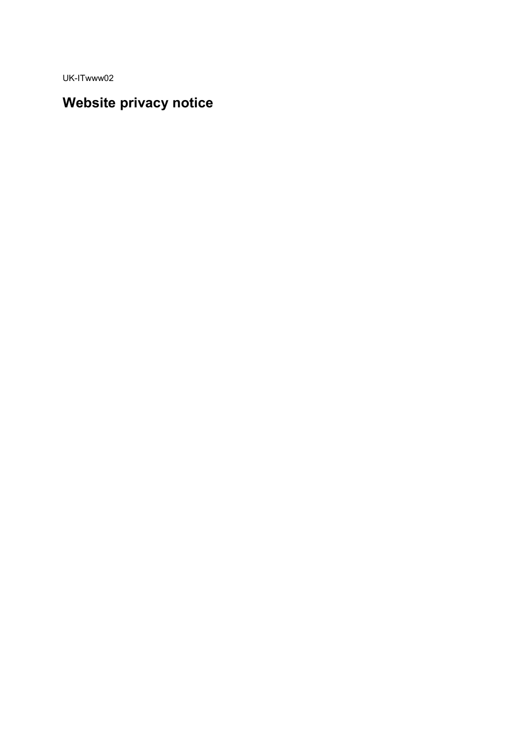UK-ITwww02

# Website privacy notice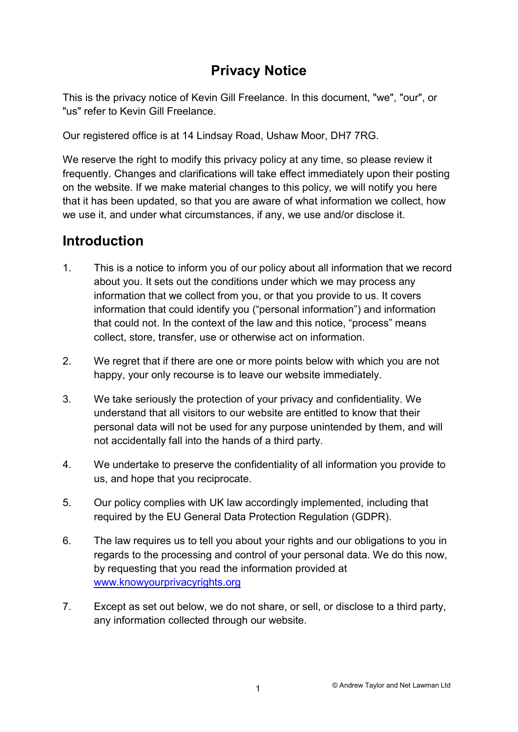# Privacy Notice

This is the privacy notice of Kevin Gill Freelance. In this document, "we", "our", or "us" refer to Kevin Gill Freelance.

Our registered office is at 14 Lindsay Road, Ushaw Moor, DH7 7RG.

We reserve the right to modify this privacy policy at any time, so please review it frequently. Changes and clarifications will take effect immediately upon their posting on the website. If we make material changes to this policy, we will notify you here that it has been updated, so that you are aware of what information we collect, how we use it, and under what circumstances, if any, we use and/or disclose it.

## Introduction

- 1. This is a notice to inform you of our policy about all information that we record about you. It sets out the conditions under which we may process any information that we collect from you, or that you provide to us. It covers information that could identify you ("personal information") and information that could not. In the context of the law and this notice, "process" means collect, store, transfer, use or otherwise act on information.
- 2. We regret that if there are one or more points below with which you are not happy, your only recourse is to leave our website immediately.
- 3. We take seriously the protection of your privacy and confidentiality. We understand that all visitors to our website are entitled to know that their personal data will not be used for any purpose unintended by them, and will not accidentally fall into the hands of a third party.
- 4. We undertake to preserve the confidentiality of all information you provide to us, and hope that you reciprocate.
- 5. Our policy complies with UK law accordingly implemented, including that required by the EU General Data Protection Regulation (GDPR).
- 6. The law requires us to tell you about your rights and our obligations to you in regards to the processing and control of your personal data. We do this now, by requesting that you read the information provided at www.knowyourprivacyrights.org
- 7. Except as set out below, we do not share, or sell, or disclose to a third party, any information collected through our website.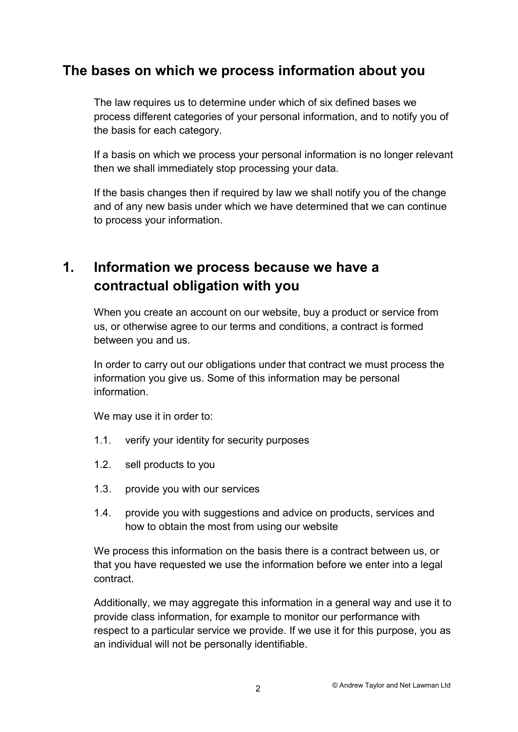## The bases on which we process information about you

The law requires us to determine under which of six defined bases we process different categories of your personal information, and to notify you of the basis for each category.

If a basis on which we process your personal information is no longer relevant then we shall immediately stop processing your data.

If the basis changes then if required by law we shall notify you of the change and of any new basis under which we have determined that we can continue to process your information.

# 1. Information we process because we have a contractual obligation with you

When you create an account on our website, buy a product or service from us, or otherwise agree to our terms and conditions, a contract is formed between you and us.

In order to carry out our obligations under that contract we must process the information you give us. Some of this information may be personal information.

We may use it in order to:

- 1.1. verify your identity for security purposes
- 1.2. sell products to you
- 1.3. provide you with our services
- 1.4. provide you with suggestions and advice on products, services and how to obtain the most from using our website

We process this information on the basis there is a contract between us, or that you have requested we use the information before we enter into a legal contract.

Additionally, we may aggregate this information in a general way and use it to provide class information, for example to monitor our performance with respect to a particular service we provide. If we use it for this purpose, you as an individual will not be personally identifiable.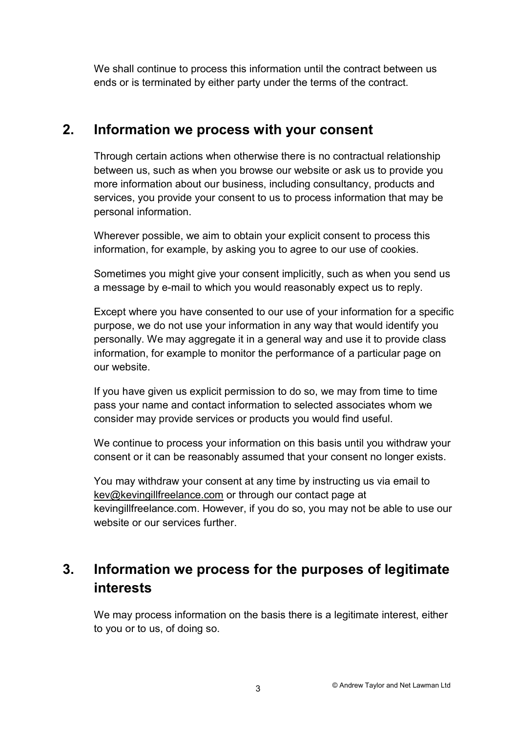We shall continue to process this information until the contract between us ends or is terminated by either party under the terms of the contract.

## 2. Information we process with your consent

Through certain actions when otherwise there is no contractual relationship between us, such as when you browse our website or ask us to provide you more information about our business, including consultancy, products and services, you provide your consent to us to process information that may be personal information.

Wherever possible, we aim to obtain your explicit consent to process this information, for example, by asking you to agree to our use of cookies.

Sometimes you might give your consent implicitly, such as when you send us a message by e-mail to which you would reasonably expect us to reply.

Except where you have consented to our use of your information for a specific purpose, we do not use your information in any way that would identify you personally. We may aggregate it in a general way and use it to provide class information, for example to monitor the performance of a particular page on our website.

If you have given us explicit permission to do so, we may from time to time pass your name and contact information to selected associates whom we consider may provide services or products you would find useful.

We continue to process your information on this basis until you withdraw your consent or it can be reasonably assumed that your consent no longer exists.

You may withdraw your consent at any time by instructing us via email to kev@kevingillfreelance.com or through our contact page at kevingillfreelance.com. However, if you do so, you may not be able to use our website or our services further

# 3. Information we process for the purposes of legitimate interests

We may process information on the basis there is a legitimate interest, either to you or to us, of doing so.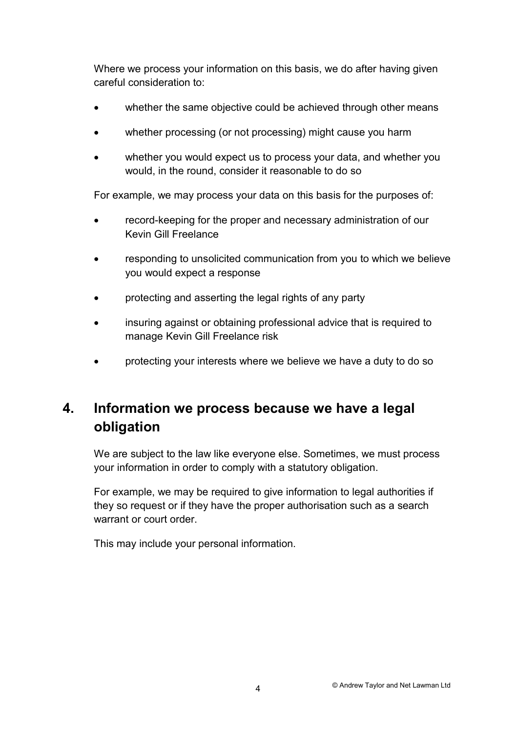Where we process your information on this basis, we do after having given careful consideration to:

- whether the same objective could be achieved through other means
- whether processing (or not processing) might cause you harm
- whether you would expect us to process your data, and whether you would, in the round, consider it reasonable to do so

For example, we may process your data on this basis for the purposes of:

- record-keeping for the proper and necessary administration of our Kevin Gill Freelance
- responding to unsolicited communication from you to which we believe you would expect a response
- protecting and asserting the legal rights of any party
- insuring against or obtaining professional advice that is required to manage Kevin Gill Freelance risk
- protecting your interests where we believe we have a duty to do so

# 4. Information we process because we have a legal obligation

We are subject to the law like everyone else. Sometimes, we must process your information in order to comply with a statutory obligation.

For example, we may be required to give information to legal authorities if they so request or if they have the proper authorisation such as a search warrant or court order.

This may include your personal information.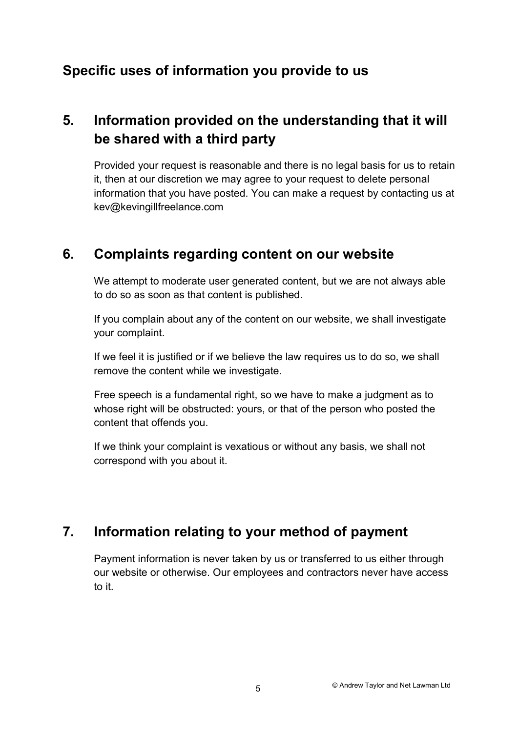## Specific uses of information you provide to us

# 5. Information provided on the understanding that it will be shared with a third party

Provided your request is reasonable and there is no legal basis for us to retain it, then at our discretion we may agree to your request to delete personal information that you have posted. You can make a request by contacting us at kev@kevingillfreelance.com

## 6. Complaints regarding content on our website

We attempt to moderate user generated content, but we are not always able to do so as soon as that content is published.

If you complain about any of the content on our website, we shall investigate your complaint.

If we feel it is justified or if we believe the law requires us to do so, we shall remove the content while we investigate.

Free speech is a fundamental right, so we have to make a judgment as to whose right will be obstructed: yours, or that of the person who posted the content that offends you.

If we think your complaint is vexatious or without any basis, we shall not correspond with you about it.

## 7. Information relating to your method of payment

Payment information is never taken by us or transferred to us either through our website or otherwise. Our employees and contractors never have access to it.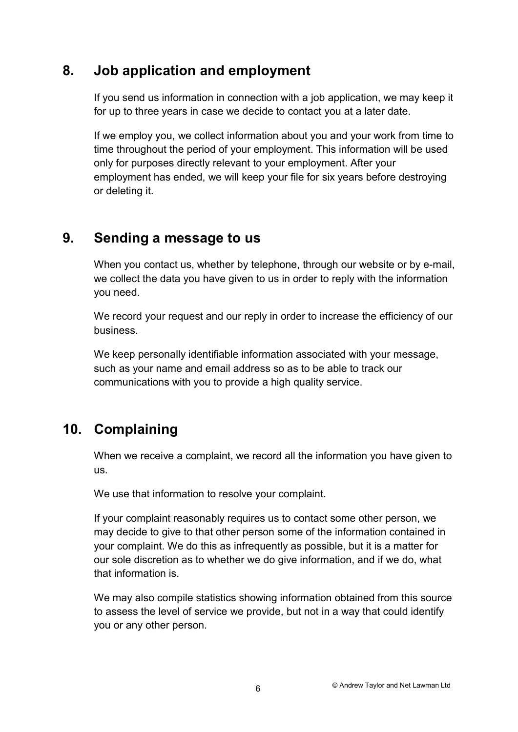## 8. Job application and employment

If you send us information in connection with a job application, we may keep it for up to three years in case we decide to contact you at a later date.

If we employ you, we collect information about you and your work from time to time throughout the period of your employment. This information will be used only for purposes directly relevant to your employment. After your employment has ended, we will keep your file for six years before destroying or deleting it.

## 9. Sending a message to us

When you contact us, whether by telephone, through our website or by e-mail, we collect the data you have given to us in order to reply with the information you need.

We record your request and our reply in order to increase the efficiency of our business.

We keep personally identifiable information associated with your message, such as your name and email address so as to be able to track our communications with you to provide a high quality service.

# 10. Complaining

When we receive a complaint, we record all the information you have given to us.

We use that information to resolve your complaint.

If your complaint reasonably requires us to contact some other person, we may decide to give to that other person some of the information contained in your complaint. We do this as infrequently as possible, but it is a matter for our sole discretion as to whether we do give information, and if we do, what that information is.

We may also compile statistics showing information obtained from this source to assess the level of service we provide, but not in a way that could identify you or any other person.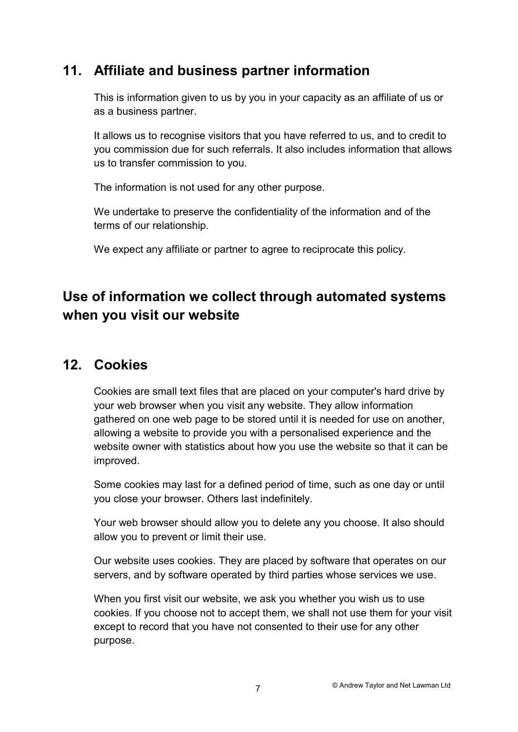## 11. Affiliate and business partner information

This is information given to us by you in your capacity as an affiliate of us or as a business partner.

It allows us to recognise visitors that you have referred to us, and to credit to you commission due for such referrals. It also includes information that allows us to transfer commission to you.

The information is not used for any other purpose.

We undertake to preserve the confidentiality of the information and of the terms of our relationship.

We expect any affiliate or partner to agree to reciprocate this policy.

# Use of information we collect through automated systems when you visit our website

### 12. Cookies

Cookies are small text files that are placed on your computer's hard drive by your web browser when you visit any website. They allow information gathered on one web page to be stored until it is needed for use on another, allowing a website to provide you with a personalised experience and the website owner with statistics about how you use the website so that it can be improved.

Some cookies may last for a defined period of time, such as one day or until you close your browser. Others last indefinitely.

Your web browser should allow you to delete any you choose. It also should allow you to prevent or limit their use.

Our website uses cookies. They are placed by software that operates on our servers, and by software operated by third parties whose services we use.

When you first visit our website, we ask you whether you wish us to use cookies. If you choose not to accept them, we shall not use them for your visit except to record that you have not consented to their use for any other purpose.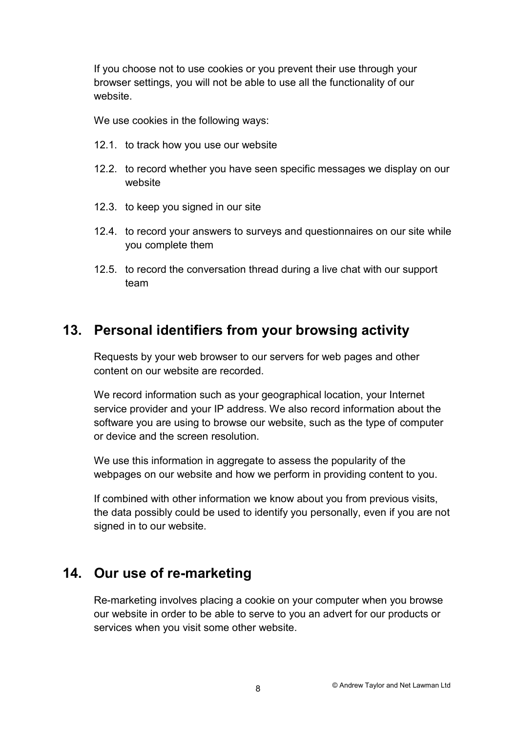If you choose not to use cookies or you prevent their use through your browser settings, you will not be able to use all the functionality of our website.

We use cookies in the following ways:

- 12.1. to track how you use our website
- 12.2. to record whether you have seen specific messages we display on our website
- 12.3. to keep you signed in our site
- 12.4. to record your answers to surveys and questionnaires on our site while you complete them
- 12.5. to record the conversation thread during a live chat with our support team

## 13. Personal identifiers from your browsing activity

Requests by your web browser to our servers for web pages and other content on our website are recorded.

We record information such as your geographical location, your Internet service provider and your IP address. We also record information about the software you are using to browse our website, such as the type of computer or device and the screen resolution.

We use this information in aggregate to assess the popularity of the webpages on our website and how we perform in providing content to you.

If combined with other information we know about you from previous visits, the data possibly could be used to identify you personally, even if you are not signed in to our website.

#### 14. Our use of re-marketing

Re-marketing involves placing a cookie on your computer when you browse our website in order to be able to serve to you an advert for our products or services when you visit some other website.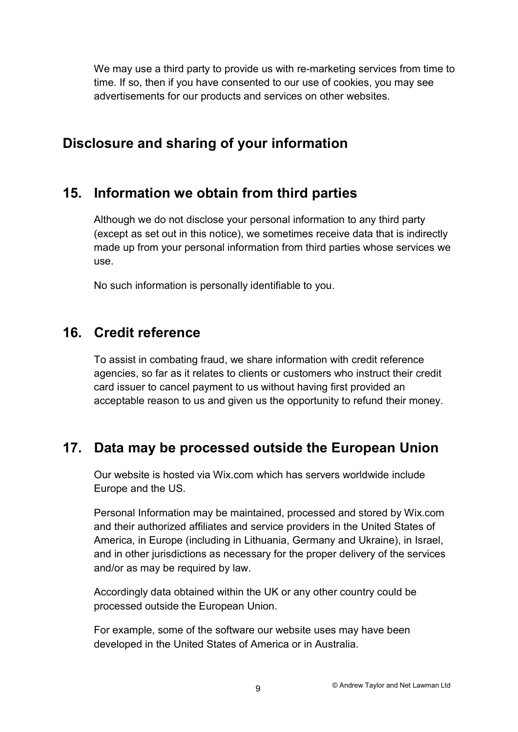We may use a third party to provide us with re-marketing services from time to time. If so, then if you have consented to our use of cookies, you may see advertisements for our products and services on other websites.

## Disclosure and sharing of your information

#### 15. Information we obtain from third parties

Although we do not disclose your personal information to any third party (except as set out in this notice), we sometimes receive data that is indirectly made up from your personal information from third parties whose services we use.

No such information is personally identifiable to you.

## 16. Credit reference

To assist in combating fraud, we share information with credit reference agencies, so far as it relates to clients or customers who instruct their credit card issuer to cancel payment to us without having first provided an acceptable reason to us and given us the opportunity to refund their money.

## 17. Data may be processed outside the European Union

Our website is hosted via Wix.com which has servers worldwide include Europe and the US.

Personal Information may be maintained, processed and stored by Wix.com and their authorized affiliates and service providers in the United States of America, in Europe (including in Lithuania, Germany and Ukraine), in Israel, and in other jurisdictions as necessary for the proper delivery of the services and/or as may be required by law.

Accordingly data obtained within the UK or any other country could be processed outside the European Union.

For example, some of the software our website uses may have been developed in the United States of America or in Australia.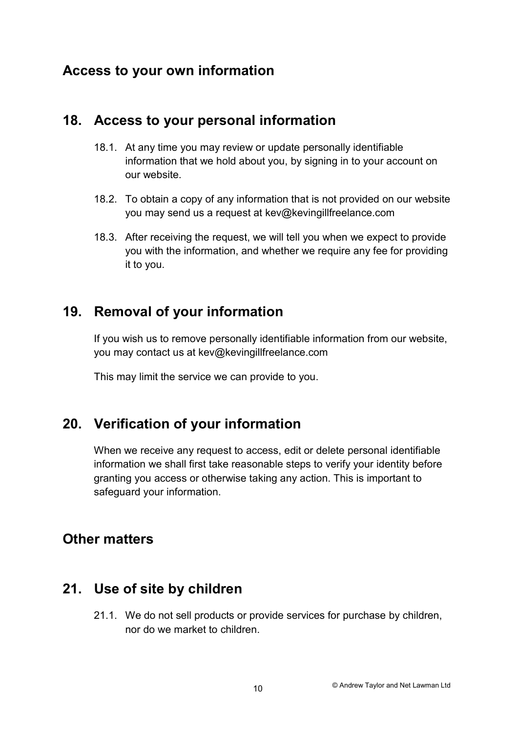## Access to your own information

#### 18. Access to your personal information

- 18.1. At any time you may review or update personally identifiable information that we hold about you, by signing in to your account on our website.
- 18.2. To obtain a copy of any information that is not provided on our website you may send us a request at kev@kevingillfreelance.com
- 18.3. After receiving the request, we will tell you when we expect to provide you with the information, and whether we require any fee for providing it to you.

## 19. Removal of your information

If you wish us to remove personally identifiable information from our website, you may contact us at kev@kevingillfreelance.com

This may limit the service we can provide to you.

## 20. Verification of your information

When we receive any request to access, edit or delete personal identifiable information we shall first take reasonable steps to verify your identity before granting you access or otherwise taking any action. This is important to safeguard your information.

## Other matters

## 21. Use of site by children

21.1. We do not sell products or provide services for purchase by children, nor do we market to children.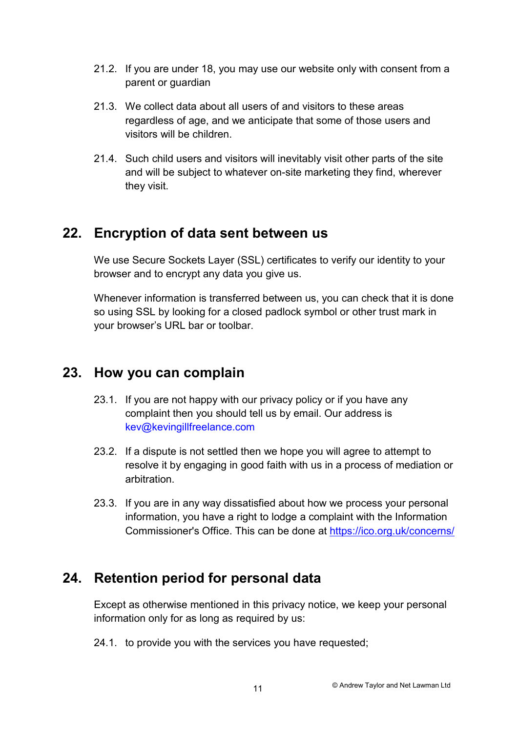- 21.2. If you are under 18, you may use our website only with consent from a parent or guardian
- 21.3. We collect data about all users of and visitors to these areas regardless of age, and we anticipate that some of those users and visitors will be children.
- 21.4. Such child users and visitors will inevitably visit other parts of the site and will be subject to whatever on-site marketing they find, wherever they visit.

## 22. Encryption of data sent between us

We use Secure Sockets Layer (SSL) certificates to verify our identity to your browser and to encrypt any data you give us.

Whenever information is transferred between us, you can check that it is done so using SSL by looking for a closed padlock symbol or other trust mark in your browser's URL bar or toolbar.

## 23. How you can complain

- 23.1. If you are not happy with our privacy policy or if you have any complaint then you should tell us by email. Our address is kev@kevingillfreelance.com
- 23.2. If a dispute is not settled then we hope you will agree to attempt to resolve it by engaging in good faith with us in a process of mediation or arbitration.
- 23.3. If you are in any way dissatisfied about how we process your personal information, you have a right to lodge a complaint with the Information Commissioner's Office. This can be done at https://ico.org.uk/concerns/

# 24. Retention period for personal data

Except as otherwise mentioned in this privacy notice, we keep your personal information only for as long as required by us:

24.1. to provide you with the services you have requested;